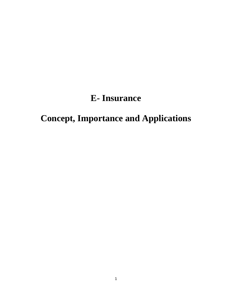## **E- Insurance**

# **Concept, Importance and Applications**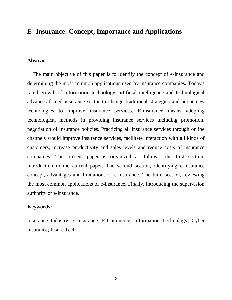### **E- Insurance: Concept, Importance and Applications**

#### **Abstract:**

 The main objective of this paper is to identify the concept of e-insurance and determining the most common applications used by insurance companies. Today's rapid growth of information technology, artificial intelligence and technological advances forced insurance sector to change traditional strategies and adopt new technologies to improve insurance services. E-insurance means adopting technological methods in providing insurance services including promotion, negotiation of insurance policies. Practicing all insurance services through online channels would improve insurance services, facilitate interaction with all kinds of customers, increase productivity and sales levels and reduce costs of insurance companies. The present paper is organized as follows: the first section, introduction to the current paper. The second section, identifying e-insurance concept, advantages and limitations of e-insurance. The third section, reviewing the most common applications of e-insurance. Finally, introducing the supervision authority of e-insurance.

#### **Keywords:**

Insurance Industry; E-Insurance; E-Commerce; Information Technology; Cyber insurance; Insure Tech.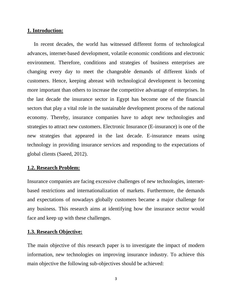#### **1. Introduction:**

 In recent decades, the world has witnessed different forms of technological advances, internet-based development, volatile economic conditions and electronic environment. Therefore, conditions and strategies of business enterprises are changing every day to meet the changeable demands of different kinds of customers. Hence, keeping abreast with technological development is becoming more important than others to increase the competitive advantage of enterprises. In the last decade the insurance sector in Egypt has become one of the financial sectors that play a vital role in the sustainable development process of the national economy. Thereby, insurance companies have to adopt new technologies and strategies to attract new customers. Electronic Insurance (E-insurance) is one of the new strategies that appeared in the last decade. E-insurance means using technology in providing insurance services and responding to the expectations of global clients (Saeed, 2012).

#### **1.2. Research Problem:**

Insurance companies are facing excessive challenges of new technologies, internetbased restrictions and internationalization of markets. Furthermore, the demands and expectations of nowadays globally customers became a major challenge for any business. This research aims at identifying how the insurance sector would face and keep up with these challenges.

#### **1.3. Research Objective:**

The main objective of this research paper is to investigate the impact of modern information, new technologies on improving insurance industry. To achieve this main objective the following sub-objectives should be achieved: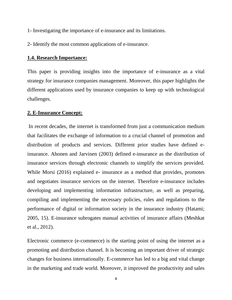- 1- Investigating the importance of e-insurance and its limitations.
- 2- Identify the most common applications of e-insurance.

#### **1.4. Research Importance:**

This paper is providing insights into the importance of e-insurance as a vital strategy for insurance companies management. Moreover, this paper highlights the different applications used by insurance companies to keep up with technological challenges.

#### **2. E-Insurance Concept:**

In recent decades, the internet is transformed from just a communication medium that facilitates the exchange of information to a crucial channel of promotion and distribution of products and services. Different prior studies have defined einsurance. Ahonen and Jarvinen (2003) defined e-insurance as the distribution of insurance services through electronic channels to simplify the services provided. While Morsi (2016) explained e- insurance as a method that provides, promotes and negotiates insurance services on the internet. Therefore e-insurance includes developing and implementing information infrastructure, as well as preparing, compiling and implementing the necessary policies, rules and regulations to the performance of digital or information society in the insurance industry (Hatami; 2005, 15). E-insurance subrogates manual activities of insurance affairs (Meshkat et al., 2012).

Electronic commerce (e-commerce) is the starting point of using the internet as a promoting and distribution channel. It is becoming an important driver of strategic changes for business internationally. E-commerce has led to a big and vital change in the marketing and trade world. Moreover, it improved the productivity and sales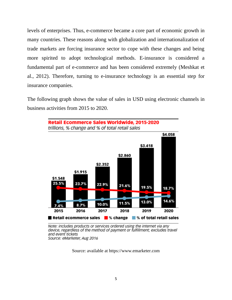levels of enterprises. Thus, e-commerce became a core part of economic growth in many countries. These reasons along with globalization and internationalization of trade markets are forcing insurance sector to cope with these changes and being more spirited to adopt technological methods. E-insurance is considered a fundamental part of e-commerce and has been considered extremely (Meshkat et al., 2012). Therefore, turning to e-insurance technology is an essential step for insurance companies.

The following graph shows the value of sales in USD using electronic channels in business activities from 2015 to 2020.



Note: includes products or services ordered using the internet via any<br>device, regardless of the method of payment or fulfillment; excludes travel and event tickets Source: eMarketer, Aug 2016

Source: available at https://www.emarketer.com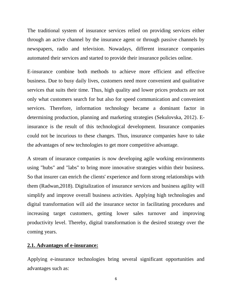The traditional system of insurance services relied on providing services either through an active channel by the insurance agent or through passive channels by newspapers, radio and television. Nowadays, different insurance companies automated their services and started to provide their insurance policies online.

E-insurance combine both methods to achieve more efficient and effective business. Due to busy daily lives, customers need more convenient and qualitative services that suits their time. Thus, high quality and lower prices products are not only what customers search for but also for speed communication and convenient services. Therefore, information technology became a dominant factor in determining production, planning and marketing strategies (Sekulovska, 2012). Einsurance is the result of this technological development. Insurance companies could not be incurious to these changes. Thus, insurance companies have to take the advantages of new technologies to get more competitive advantage.

A stream of insurance companies is now developing agile working environments using "hubs" and "labs" to bring more innovative strategies within their business. So that insurer can enrich the clients' experience and form strong relationships with them (Radwan,2018). Digitalization of insurance services and business agility will simplify and improve overall business activities. Applying high technologies and digital transformation will aid the insurance sector in facilitating procedures and increasing target customers, getting lower sales turnover and improving productivity level. Thereby, digital transformation is the desired strategy over the coming years.

#### **2.1. Advantages of e-insurance:**

Applying e-insurance technologies bring several significant opportunities and advantages such as:

6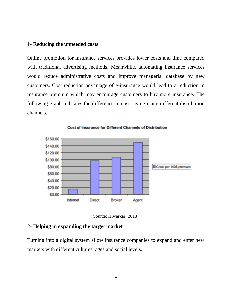#### 1**- Reducing the unneeded costs**

Online promotion for insurance services provides lower costs and time compared with traditional advertising methods. Meanwhile, automating insurance services would reduce administrative costs and improve managerial database by new customers. Cost reduction advantage of e-insurance would lead to a reduction in insurance premium which may encourage customers to buy more insurance. The following graph indicates the difference in cost saving using different distribution channels.



**Cost of Insurance for Different Channels of Distribution** 



#### 2**- Helping in expanding the target market**

Turning into a digital system allow insurance companies to expand and enter new markets with different cultures, ages and social levels.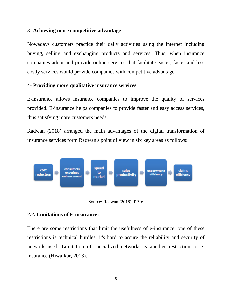#### 3**- Achieving more competitive advantage**:

Nowadays customers practice their daily activities using the internet including buying, selling and exchanging products and services. Thus, when insurance companies adopt and provide online services that facilitate easier, faster and less costly services would provide companies with competitive advantage.

#### 4- **Providing more qualitative insurance services**:

E-insurance allows insurance companies to improve the quality of services provided. E-insurance helps companies to provide faster and easy access services, thus satisfying more customers needs.

Radwan (2018) arranged the main advantages of the digital transformation of insurance services form Radwan's point of view in six key areas as follows:



Source: Radwan (2018), PP. 6

#### **2.2. Limitations of E-insurance:**

There are some restrictions that limit the usefulness of e-insurance. one of these restrictions is technical hurdles; it's hard to assure the reliability and security of network used. Limitation of specialized networks is another restriction to einsurance (Hiwarkar, 2013).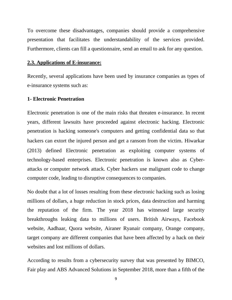To overcome these disadvantages, companies should provide a comprehensive presentation that facilitates the understandability of the services provided. Furthermore, clients can fill a questionnaire, send an email to ask for any question.

#### **2.3. Applications of E-insurance:**

Recently, several applications have been used by insurance companies as types of e-insurance systems such as:

#### **1- Electronic Penetration**

Electronic penetration is one of the main risks that threaten e-insurance. In recent years, different lawsuits have proceeded against electronic hacking. Electronic penetration is hacking someone's computers and getting confidential data so that hackers can extort the injured person and get a ransom from the victim. Hiwarkar (2013) defined Electronic penetration as exploiting computer systems of technology-based enterprises. Electronic penetration is known also as Cyberattacks or computer network attack. Cyber hackers use malignant code to change computer code, leading to disruptive consequences to companies.

No doubt that a lot of losses resulting from these electronic hacking such as losing millions of dollars, a huge reduction in stock prices, data destruction and harming the reputation of the firm. The year 2018 has witnessed large security breakthroughs leaking data to millions of users. British Airways, Facebook website, Aadhaar, Quora website, Airaner Ryanair company, Orange company, target company are different companies that have been affected by a hack on their websites and lost millions of dollars.

According to results from a cybersecurity survey that was presented by BIMCO, Fair play and ABS Advanced Solutions in September 2018, more than a fifth of the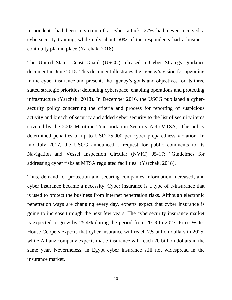respondents had been a victim of a cyber attack. 27% had never received a cybersecurity training, while only about 50% of the respondents had a business continuity plan in place (Yarchak, 2018).

The United States Coast Guard (USCG) released a Cyber Strategy guidance document in June 2015. This document illustrates the agency's vision for operating in the cyber insurance and presents the agency's goals and objectives for its three stated strategic priorities: defending cyberspace, enabling operations and protecting infrastructure (Yarchak, 2018). In December 2016, the USCG published a cybersecurity policy concerning the criteria and process for reporting of suspicious activity and breach of security and added cyber security to the list of security items covered by the 2002 Maritime Transportation Security Act (MTSA). The policy determined penalties of up to USD 25,000 per cyber preparedness violation. In mid-July 2017, the USCG announced a request for public comments to its Navigation and Vessel Inspection Circular (NVIC) 05-17: "Guidelines for addressing cyber risks at MTSA regulated facilities" (Yarchak, 2018).

Thus, demand for protection and securing companies information increased, and cyber insurance became a necessity. Cyber insurance is a type of e-insurance that is used to protect the business from internet penetration risks. Although electronic penetration ways are changing every day, experts expect that cyber insurance is going to increase through the next few years. The cybersecurity insurance market is expected to grow by 25.4% during the period from 2018 to 2023. Price Water House Coopers expects that cyber insurance will reach 7.5 billion dollars in 2025, while Allianz company expects that e-insurance will reach 20 billion dollars in the same year. Nevertheless, in Egypt cyber insurance still not widespread in the insurance market.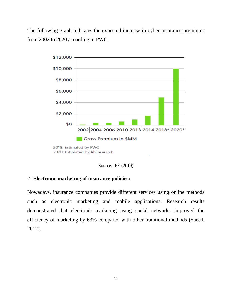The following graph indicates the expected increase in cyber insurance premiums from 2002 to 2020 according to PWC.



Source: IFE (2019)

#### 2**- Electronic marketing of insurance policies:**

Nowadays, insurance companies provide different services using online methods such as electronic marketing and mobile applications. Research results demonstrated that electronic marketing using social networks improved the efficiency of marketing by 63% compared with other traditional methods (Saeed, 2012).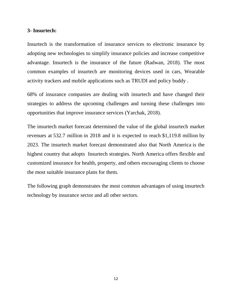#### **3- Insurtech:**

Insurtech is the transformation of insurance services to electronic insurance by adopting new technologies to simplify insurance policies and increase competitive advantage. Insurtech is the insurance of the future (Radwan, 2018). The most common examples of insurtech are monitoring devices used in cars, Wearable activity trackers and mobile applications such as TRUDI and policy buddy .

68% of insurance companies are dealing with insurtech and have changed their strategies to address the upcoming challenges and turning these challenges into opportunities that improve insurance services (Yarchak, 2018).

The insurtech market forecast determined the value of the global insurtech market revenues at 532.7 million in 2018 and it is expected to reach \$1,119.8 million by 2023. The insurtech market forecast demonstrated also that North America is the highest country that adopts Insurtech strategies. North America offers flexible and customized insurance for health, property, and others encouraging clients to choose the most suitable insurance plans for them.

The following graph demonstrates the most common advantages of using insurtech technology by insurance sector and all other sectors.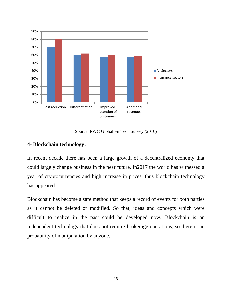

Source: PWC Global FinTech Survey (2016)

#### **4- Blockchain technology:**

In recent decade there has been a large growth of a decentralized economy that could largely change business in the near future. In2017 the world has witnessed a year of cryptocurrencies and high increase in prices, thus blockchain technology has appeared.

Blockchain has become a safe method that keeps a record of events for both parties as it cannot be deleted or modified. So that, ideas and concepts which were difficult to realize in the past could be developed now. Blockchain is an independent technology that does not require brokerage operations, so there is no probability of manipulation by anyone.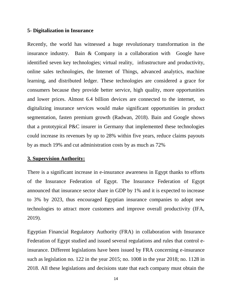#### **5- Digitalization in Insurance**

Recently, the world has witnessed a huge revolutionary transformation in the insurance industry. Bain & Company in a collaboration with Google have identified seven key technologies; virtual reality, infrastructure and productivity, online sales technologies, the Internet of Things, advanced analytics, machine learning, and distributed ledger. These technologies are considered a grace for consumers because they provide better service, high quality, more opportunities and lower prices. Almost 6.4 billion devices are connected to the internet, so digitalizing insurance services would make significant opportunities in product segmentation, fasten premium growth (Radwan, 2018). Bain and Google shows that a prototypical P&C insurer in Germany that implemented these technologies could increase its revenues by up to 28% within five years, reduce claims payouts by as much 19% and cut administration costs by as much as 72%

#### **3. Supervision Authority:**

There is a significant increase in e-insurance awareness in Egypt thanks to efforts of the Insurance Federation of Egypt. The Insurance Federation of Egypt announced that insurance sector share in GDP by 1% and it is expected to increase to 3% by 2023, thus encouraged Egyptian insurance companies to adopt new technologies to attract more customers and improve overall productivity (IFA, 2019).

Egyptian Financial Regulatory Authority (FRA) in collaboration with Insurance Federation of Egypt studied and issued several regulations and rules that control einsurance. Different legislations have been issued by FRA concerning e-insurance such as legislation no. 122 in the year 2015; no. 1008 in the year 2018; no. 1128 in 2018. All these legislations and decisions state that each company must obtain the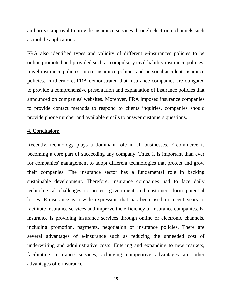authority's approval to provide insurance services through electronic channels such as mobile applications.

FRA also identified types and validity of different e-insurances policies to be online promoted and provided such as compulsory civil liability insurance policies, travel insurance policies, micro insurance policies and personal accident insurance policies. Furthermore, FRA demonstrated that insurance companies are obligated to provide a comprehensive presentation and explanation of insurance policies that announced on companies' websites. Moreover, FRA imposed insurance companies to provide contact methods to respond to clients inquiries, companies should provide phone number and available emails to answer customers questions.

#### **4. Conclusion:**

Recently, technology plays a dominant role in all businesses. E-commerce is becoming a core part of succeeding any company. Thus, it is important than ever for companies' management to adopt different technologies that protect and grow their companies. The insurance sector has a fundamental role in backing sustainable development. Therefore, insurance companies had to face daily technological challenges to protect government and customers form potential losses. E-insurance is a wide expression that has been used in recent years to facilitate insurance services and improve the efficiency of insurance companies. Einsurance is providing insurance services through online or electronic channels, including promotion, payments, negotiation of insurance policies. There are several advantages of e-insurance such as reducing the unneeded cost of underwriting and administrative costs. Entering and expanding to new markets, facilitating insurance services, achieving competitive advantages are other advantages of e-insurance.

15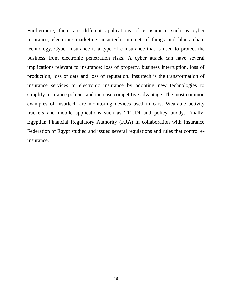Furthermore, there are different applications of e-insurance such as cyber insurance, electronic marketing, insurtech, internet of things and block chain technology. Cyber insurance is a type of e-insurance that is used to protect the business from electronic penetration risks. A cyber attack can have several implications relevant to insurance: loss of property, business interruption, loss of production, loss of data and loss of reputation. Insurtech is the transformation of insurance services to electronic insurance by adopting new technologies to simplify insurance policies and increase competitive advantage. The most common examples of insurtech are monitoring devices used in cars, Wearable activity trackers and mobile applications such as TRUDI and policy buddy. Finally, Egyptian Financial Regulatory Authority (FRA) in collaboration with Insurance Federation of Egypt studied and issued several regulations and rules that control einsurance.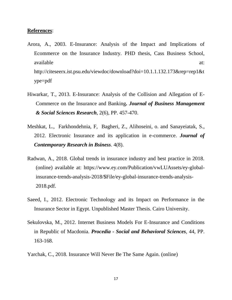#### **References**:

- Arora, A., 2003. E-Insurance: Analysis of the Impact and Implications of Ecommerce on the Insurance Industry. PHD thesis, Cass Business School, available at:  $\alpha$  at:  $\alpha$  at: http://citeseerx.ist.psu.edu/viewdoc/download?doi=10.1.1.132.173&rep=rep1&t ype=pdf
- Hiwarkar, T., 2013. E-Insurance: Analysis of the Collision and Allegation of E-Commerce on the Insurance and Banking*. Journal of Business Management & Social Sciences Research*, 2(6), PP. 457-470.
- Meshkat, L., Farkhondehnia, F, Bagheri, Z., Alihoseini, o. and Sanayeiatak, S., 2012. Electronic Insurance and its application in e-commerce. *Journal of Contemporary Research in Bsiness*. 4(8).
- Radwan, A., 2018. Global trends in insurance industry and best practice in 2018. (online) available at: https://www.ey.com/Publication/vwLUAssets/ey-globalinsurance-trends-analysis-2018/\$File/ey-global-insurance-trends-analysis-2018.pdf.
- Saeed, I., 2012. Electronic Technology and its Impact on Performance in the Insurance Sector in Egypt. Unpublished Master Thesis. Cairo University.
- Sekulovska, M., 2012. Internet Business Models For E-Insurance and Conditions in Republic of Macdonia. *Procedia - Social and Behavioral Sciences*, 44, PP. 163-168.
- Yarchak, C., 2018. Insurance Will Never Be The Same Again. (online)